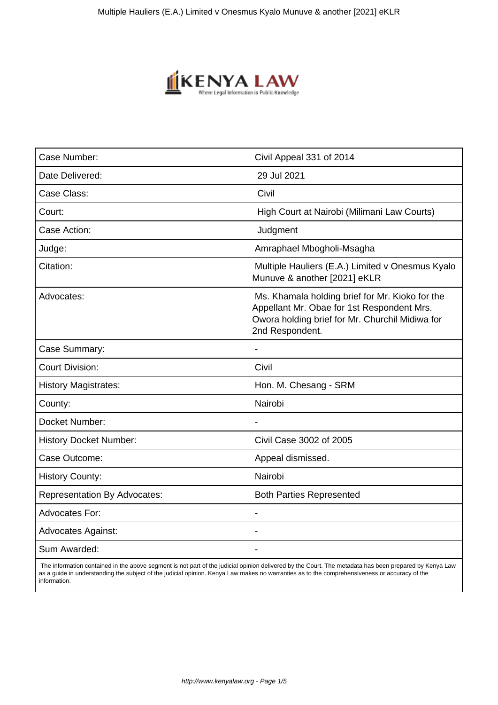

| Case Number:                        | Civil Appeal 331 of 2014                                                                                                                                            |
|-------------------------------------|---------------------------------------------------------------------------------------------------------------------------------------------------------------------|
| Date Delivered:                     | 29 Jul 2021                                                                                                                                                         |
| Case Class:                         | Civil                                                                                                                                                               |
| Court:                              | High Court at Nairobi (Milimani Law Courts)                                                                                                                         |
| Case Action:                        | Judgment                                                                                                                                                            |
| Judge:                              | Amraphael Mbogholi-Msagha                                                                                                                                           |
| Citation:                           | Multiple Hauliers (E.A.) Limited v Onesmus Kyalo<br>Munuve & another [2021] eKLR                                                                                    |
| Advocates:                          | Ms. Khamala holding brief for Mr. Kioko for the<br>Appellant Mr. Obae for 1st Respondent Mrs.<br>Owora holding brief for Mr. Churchil Midiwa for<br>2nd Respondent. |
| Case Summary:                       | $\blacksquare$                                                                                                                                                      |
| <b>Court Division:</b>              | Civil                                                                                                                                                               |
| <b>History Magistrates:</b>         | Hon. M. Chesang - SRM                                                                                                                                               |
| County:                             | Nairobi                                                                                                                                                             |
| Docket Number:                      |                                                                                                                                                                     |
| <b>History Docket Number:</b>       | Civil Case 3002 of 2005                                                                                                                                             |
| Case Outcome:                       | Appeal dismissed.                                                                                                                                                   |
| <b>History County:</b>              | Nairobi                                                                                                                                                             |
| <b>Representation By Advocates:</b> | <b>Both Parties Represented</b>                                                                                                                                     |
| <b>Advocates For:</b>               |                                                                                                                                                                     |
| <b>Advocates Against:</b>           |                                                                                                                                                                     |
| Sum Awarded:                        |                                                                                                                                                                     |
|                                     |                                                                                                                                                                     |

 The information contained in the above segment is not part of the judicial opinion delivered by the Court. The metadata has been prepared by Kenya Law as a guide in understanding the subject of the judicial opinion. Kenya Law makes no warranties as to the comprehensiveness or accuracy of the information.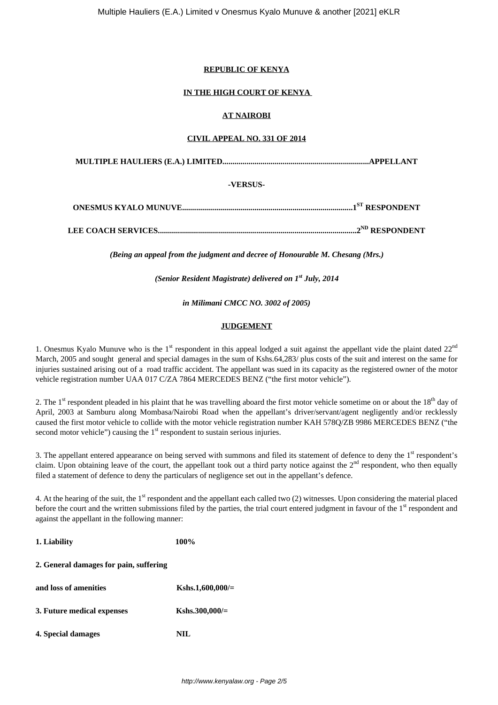## **REPUBLIC OF KENYA**

## **IN THE HIGH COURT OF KENYA**

## **AT NAIROBI**

## **CIVIL APPEAL NO. 331 OF 2014**

**MULTIPLE HAULIERS (E.A.) LIMITED.........................................................................APPELLANT**

## **-VERSUS-**

|  | .1 <sup>ST</sup> RESPONDENT |
|--|-----------------------------|
|--|-----------------------------|

**LEE COACH SERVICES...................................................................................................2ND RESPONDENT**

*(Being an appeal from the judgment and decree of Honourable M. Chesang (Mrs.)*

*(Senior Resident Magistrate) delivered on 1st July, 2014*

*in Milimani CMCC NO. 3002 of 2005)*

## **JUDGEMENT**

1. Onesmus Kyalo Munuve who is the  $1<sup>st</sup>$  respondent in this appeal lodged a suit against the appellant vide the plaint dated  $22<sup>nd</sup>$ March, 2005 and sought general and special damages in the sum of Kshs.64,283/ plus costs of the suit and interest on the same for injuries sustained arising out of a road traffic accident. The appellant was sued in its capacity as the registered owner of the motor vehicle registration number UAA 017 C/ZA 7864 MERCEDES BENZ ("the first motor vehicle").

2. The  $1<sup>st</sup>$  respondent pleaded in his plaint that he was travelling aboard the first motor vehicle sometime on or about the  $18<sup>th</sup>$  day of April, 2003 at Samburu along Mombasa/Nairobi Road when the appellant's driver/servant/agent negligently and/or recklessly caused the first motor vehicle to collide with the motor vehicle registration number KAH 578Q/ZB 9986 MERCEDES BENZ ("the second motor vehicle") causing the  $1<sup>st</sup>$  respondent to sustain serious injuries.

3. The appellant entered appearance on being served with summons and filed its statement of defence to deny the 1<sup>st</sup> respondent's claim. Upon obtaining leave of the court, the appellant took out a third party notice against the  $2<sup>nd</sup>$  respondent, who then equally filed a statement of defence to deny the particulars of negligence set out in the appellant's defence.

4. At the hearing of the suit, the 1<sup>st</sup> respondent and the appellant each called two (2) witnesses. Upon considering the material placed before the court and the written submissions filed by the parties, the trial court entered judgment in favour of the 1<sup>st</sup> respondent and against the appellant in the following manner:

| 1. Liability                           | 100%              |
|----------------------------------------|-------------------|
| 2. General damages for pain, suffering |                   |
| and loss of amenities                  | Kshs.1,600,000/=  |
| 3. Future medical expenses             | Kshs.300,000/ $=$ |
| 4. Special damages                     | NH.               |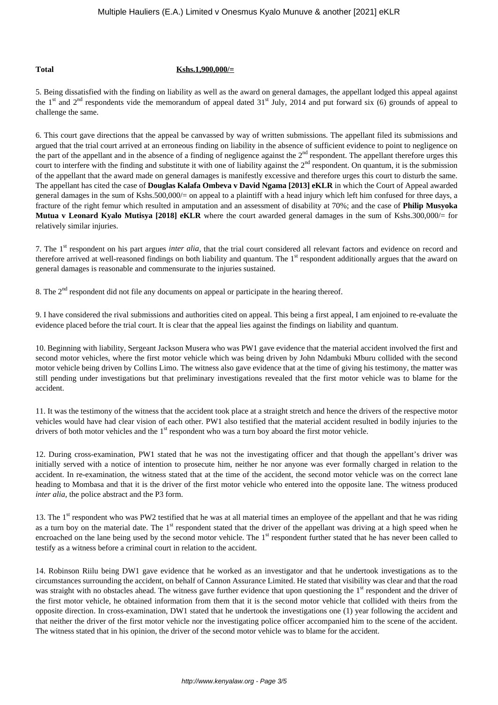#### **Total Kshs.1,900,000/=**

5. Being dissatisfied with the finding on liability as well as the award on general damages, the appellant lodged this appeal against the 1<sup>st</sup> and 2<sup>nd</sup> respondents vide the memorandum of appeal dated  $31<sup>st</sup>$  July, 2014 and put forward six (6) grounds of appeal to challenge the same.

6. This court gave directions that the appeal be canvassed by way of written submissions. The appellant filed its submissions and argued that the trial court arrived at an erroneous finding on liability in the absence of sufficient evidence to point to negligence on the part of the appellant and in the absence of a finding of negligence against the 2<sup>nd</sup> respondent. The appellant therefore urges this court to interfere with the finding and substitute it with one of liability against the  $2<sup>nd</sup>$  respondent. On quantum, it is the submission of the appellant that the award made on general damages is manifestly excessive and therefore urges this court to disturb the same. The appellant has cited the case of **Douglas Kalafa Ombeva v David Ngama [2013] eKLR** in which the Court of Appeal awarded general damages in the sum of Kshs.500,000/= on appeal to a plaintiff with a head injury which left him confused for three days, a fracture of the right femur which resulted in amputation and an assessment of disability at 70%; and the case of **Philip Musyoka Mutua v Leonard Kyalo Mutisya [2018] eKLR** where the court awarded general damages in the sum of Kshs.300,000/= for relatively similar injuries.

7. The 1<sup>st</sup> respondent on his part argues *inter alia*, that the trial court considered all relevant factors and evidence on record and therefore arrived at well-reasoned findings on both liability and quantum. The 1<sup>st</sup> respondent additionally argues that the award on general damages is reasonable and commensurate to the injuries sustained.

8. The  $2<sup>nd</sup>$  respondent did not file any documents on appeal or participate in the hearing thereof.

9. I have considered the rival submissions and authorities cited on appeal. This being a first appeal, I am enjoined to re-evaluate the evidence placed before the trial court. It is clear that the appeal lies against the findings on liability and quantum.

10. Beginning with liability, Sergeant Jackson Musera who was PW1 gave evidence that the material accident involved the first and second motor vehicles, where the first motor vehicle which was being driven by John Ndambuki Mburu collided with the second motor vehicle being driven by Collins Limo. The witness also gave evidence that at the time of giving his testimony, the matter was still pending under investigations but that preliminary investigations revealed that the first motor vehicle was to blame for the accident.

11. It was the testimony of the witness that the accident took place at a straight stretch and hence the drivers of the respective motor vehicles would have had clear vision of each other. PW1 also testified that the material accident resulted in bodily injuries to the drivers of both motor vehicles and the 1<sup>st</sup> respondent who was a turn boy aboard the first motor vehicle.

12. During cross-examination, PW1 stated that he was not the investigating officer and that though the appellant's driver was initially served with a notice of intention to prosecute him, neither he nor anyone was ever formally charged in relation to the accident. In re-examination, the witness stated that at the time of the accident, the second motor vehicle was on the correct lane heading to Mombasa and that it is the driver of the first motor vehicle who entered into the opposite lane. The witness produced *inter alia*, the police abstract and the P3 form.

13. The  $1<sup>st</sup>$  respondent who was PW2 testified that he was at all material times an employee of the appellant and that he was riding as a turn boy on the material date. The 1<sup>st</sup> respondent stated that the driver of the appellant was driving at a high speed when he encroached on the lane being used by the second motor vehicle. The 1<sup>st</sup> respondent further stated that he has never been called to testify as a witness before a criminal court in relation to the accident.

14. Robinson Riilu being DW1 gave evidence that he worked as an investigator and that he undertook investigations as to the circumstances surrounding the accident, on behalf of Cannon Assurance Limited. He stated that visibility was clear and that the road was straight with no obstacles ahead. The witness gave further evidence that upon questioning the 1<sup>st</sup> respondent and the driver of the first motor vehicle, he obtained information from them that it is the second motor vehicle that collided with theirs from the opposite direction. In cross-examination, DW1 stated that he undertook the investigations one (1) year following the accident and that neither the driver of the first motor vehicle nor the investigating police officer accompanied him to the scene of the accident. The witness stated that in his opinion, the driver of the second motor vehicle was to blame for the accident.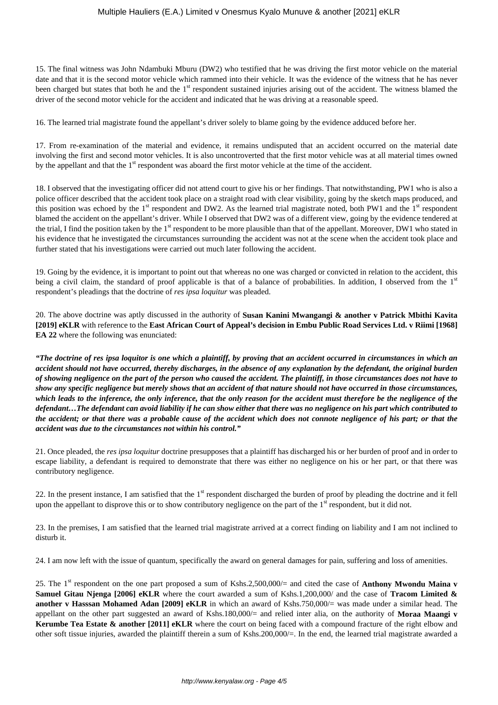15. The final witness was John Ndambuki Mburu (DW2) who testified that he was driving the first motor vehicle on the material date and that it is the second motor vehicle which rammed into their vehicle. It was the evidence of the witness that he has never been charged but states that both he and the  $1<sup>st</sup>$  respondent sustained injuries arising out of the accident. The witness blamed the driver of the second motor vehicle for the accident and indicated that he was driving at a reasonable speed.

16. The learned trial magistrate found the appellant's driver solely to blame going by the evidence adduced before her.

17. From re-examination of the material and evidence, it remains undisputed that an accident occurred on the material date involving the first and second motor vehicles. It is also uncontroverted that the first motor vehicle was at all material times owned by the appellant and that the 1<sup>st</sup> respondent was aboard the first motor vehicle at the time of the accident.

18. I observed that the investigating officer did not attend court to give his or her findings. That notwithstanding, PW1 who is also a police officer described that the accident took place on a straight road with clear visibility, going by the sketch maps produced, and this position was echoed by the  $1<sup>st</sup>$  respondent and DW2. As the learned trial magistrate noted, both PW1 and the  $1<sup>st</sup>$  respondent blamed the accident on the appellant's driver. While I observed that DW2 was of a different view, going by the evidence tendered at the trial, I find the position taken by the 1<sup>st</sup> respondent to be more plausible than that of the appellant. Moreover, DW1 who stated in his evidence that he investigated the circumstances surrounding the accident was not at the scene when the accident took place and further stated that his investigations were carried out much later following the accident.

19. Going by the evidence, it is important to point out that whereas no one was charged or convicted in relation to the accident, this being a civil claim, the standard of proof applicable is that of a balance of probabilities. In addition, I observed from the  $1<sup>st</sup>$ respondent's pleadings that the doctrine of *res ipsa loquitur* was pleaded.

20. The above doctrine was aptly discussed in the authority of **Susan Kanini Mwangangi & another v Patrick Mbithi Kavita [2019] eKLR** with reference to the **East African Court of Appeal's decision in Embu Public Road Services Ltd. v Riimi [1968] EA 22** where the following was enunciated:

*"The doctrine of res ipsa loquitor is one which a plaintiff, by proving that an accident occurred in circumstances in which an accident should not have occurred, thereby discharges, in the absence of any explanation by the defendant, the original burden of showing negligence on the part of the person who caused the accident. The plaintiff, in those circumstances does not have to show any specific negligence but merely shows that an accident of that nature should not have occurred in those circumstances, which leads to the inference, the only inference, that the only reason for the accident must therefore be the negligence of the defendant…The defendant can avoid liability if he can show either that there was no negligence on his part which contributed to the accident; or that there was a probable cause of the accident which does not connote negligence of his part; or that the accident was due to the circumstances not within his control."* 

21. Once pleaded, the *res ipsa loquitur* doctrine presupposes that a plaintiff has discharged his or her burden of proof and in order to escape liability, a defendant is required to demonstrate that there was either no negligence on his or her part, or that there was contributory negligence.

22. In the present instance, I am satisfied that the  $1<sup>st</sup>$  respondent discharged the burden of proof by pleading the doctrine and it fell upon the appellant to disprove this or to show contributory negligence on the part of the  $1<sup>st</sup>$  respondent, but it did not.

23. In the premises, I am satisfied that the learned trial magistrate arrived at a correct finding on liability and I am not inclined to disturb it.

24. I am now left with the issue of quantum, specifically the award on general damages for pain, suffering and loss of amenities.

25. The 1st respondent on the one part proposed a sum of Kshs.2,500,000/= and cited the case of **Anthony Mwondu Maina v Samuel Gitau Njenga [2006] eKLR** where the court awarded a sum of Kshs.1,200,000/ and the case of **Tracom Limited & another v Hasssan Mohamed Adan [2009] eKLR** in which an award of Kshs.750,000/= was made under a similar head. The appellant on the other part suggested an award of Kshs.180,000/= and relied inter alia, on the authority of **Moraa Maangi v Kerumbe Tea Estate & another [2011] eKLR** where the court on being faced with a compound fracture of the right elbow and other soft tissue injuries, awarded the plaintiff therein a sum of Kshs.200,000/=. In the end, the learned trial magistrate awarded a